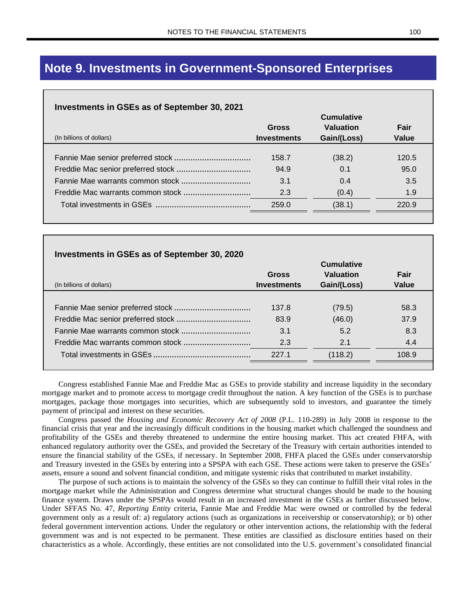# **Note 9. Investments in Government-Sponsored Enterprises**

### **Investments in GSEs as of September 30, 2021**

|                          | <b>Cumulative</b>  |                  |       |
|--------------------------|--------------------|------------------|-------|
|                          | <b>Gross</b>       | <b>Valuation</b> | Fair  |
| (In billions of dollars) | <b>Investments</b> | Gain/(Loss)      | Value |
|                          |                    |                  |       |
|                          | 158.7              | (38.2)           | 120.5 |
|                          | 94.9               | 0.1              | 95.0  |
|                          | 3.1                | 0.4              | 3.5   |
|                          | 2.3                | (0.4)            | 1.9   |
|                          | 259.0              | (38.1)           | 220.9 |
|                          |                    |                  |       |

| Investments in GSEs as of September 30, 2020<br><b>Cumulative</b> |                             |                          |               |  |  |
|-------------------------------------------------------------------|-----------------------------|--------------------------|---------------|--|--|
| (In billions of dollars)                                          | Gross<br><b>Investments</b> | Valuation<br>Gain/(Loss) | Fair<br>Value |  |  |
|                                                                   | 137.8                       | (79.5)                   | 58.3          |  |  |
|                                                                   | 83.9                        | (46.0)                   | 37.9          |  |  |
|                                                                   | 3.1                         | 5.2                      | 8.3           |  |  |
|                                                                   | 2.3                         | 2.1                      | 4.4           |  |  |
|                                                                   | 227.1                       | (118.2)                  | 108.9         |  |  |

Congress established Fannie Mae and Freddie Mac as GSEs to provide stability and increase liquidity in the secondary mortgage market and to promote access to mortgage credit throughout the nation. A key function of the GSEs is to purchase mortgages, package those mortgages into securities, which are subsequently sold to investors, and guarantee the timely payment of principal and interest on these securities.

Congress passed the *Housing and Economic Recovery Act of 2008* (P.L. 110-289) in July 2008 in response to the financial crisis that year and the increasingly difficult conditions in the housing market which challenged the soundness and profitability of the GSEs and thereby threatened to undermine the entire housing market. This act created FHFA, with enhanced regulatory authority over the GSEs, and provided the Secretary of the Treasury with certain authorities intended to ensure the financial stability of the GSEs, if necessary. In September 2008, FHFA placed the GSEs under conservatorship and Treasury invested in the GSEs by entering into a SPSPA with each GSE. These actions were taken to preserve the GSEs' assets, ensure a sound and solvent financial condition, and mitigate systemic risks that contributed to market instability.

The purpose of such actions is to maintain the solvency of the GSEs so they can continue to fulfill their vital roles in the mortgage market while the Administration and Congress determine what structural changes should be made to the housing finance system. Draws under the SPSPAs would result in an increased investment in the GSEs as further discussed below. Under SFFAS No. 47, *Reporting Entity* criteria, Fannie Mae and Freddie Mac were owned or controlled by the federal government only as a result of: a) regulatory actions (such as organizations in receivership or conservatorship); or b) other federal government intervention actions. Under the regulatory or other intervention actions, the relationship with the federal government was and is not expected to be permanent. These entities are classified as disclosure entities based on their characteristics as a whole. Accordingly, these entities are not consolidated into the U.S. government's consolidated financial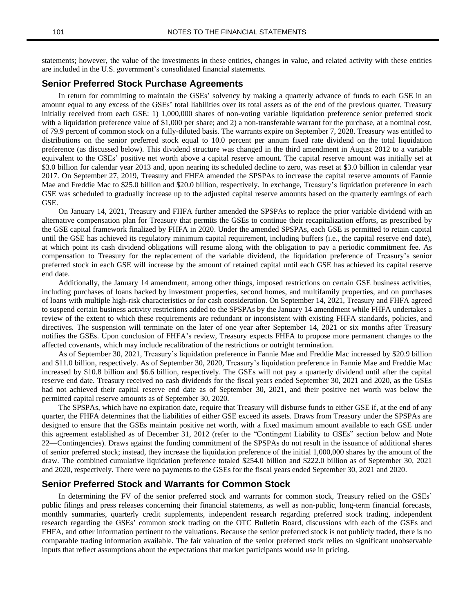statements; however, the value of the investments in these entities, changes in value, and related activity with these entities are included in the U.S. government's consolidated financial statements.

#### **Senior Preferred Stock Purchase Agreements**

In return for committing to maintain the GSEs' solvency by making a quarterly advance of funds to each GSE in an amount equal to any excess of the GSEs' total liabilities over its total assets as of the end of the previous quarter, Treasury initially received from each GSE: 1) 1,000,000 shares of non-voting variable liquidation preference senior preferred stock with a liquidation preference value of \$1,000 per share; and 2) a non-transferable warrant for the purchase, at a nominal cost, of 79.9 percent of common stock on a fully-diluted basis. The warrants expire on September 7, 2028. Treasury was entitled to distributions on the senior preferred stock equal to 10.0 percent per annum fixed rate dividend on the total liquidation preference (as discussed below). This dividend structure was changed in the third amendment in August 2012 to a variable equivalent to the GSEs' positive net worth above a capital reserve amount. The capital reserve amount was initially set at \$3.0 billion for calendar year 2013 and, upon nearing its scheduled decline to zero, was reset at \$3.0 billion in calendar year 2017. On September 27, 2019, Treasury and FHFA amended the SPSPAs to increase the capital reserve amounts of Fannie Mae and Freddie Mac to \$25.0 billion and \$20.0 billion, respectively. In exchange, Treasury's liquidation preference in each GSE was scheduled to gradually increase up to the adjusted capital reserve amounts based on the quarterly earnings of each GSE.

On January 14, 2021, Treasury and FHFA further amended the SPSPAs to replace the prior variable dividend with an alternative compensation plan for Treasury that permits the GSEs to continue their recapitalization efforts, as prescribed by the GSE capital framework finalized by FHFA in 2020. Under the amended SPSPAs, each GSE is permitted to retain capital until the GSE has achieved its regulatory minimum capital requirement, including buffers (i.e., the capital reserve end date), at which point its cash dividend obligations will resume along with the obligation to pay a periodic commitment fee. As compensation to Treasury for the replacement of the variable dividend, the liquidation preference of Treasury's senior preferred stock in each GSE will increase by the amount of retained capital until each GSE has achieved its capital reserve end date.

Additionally, the January 14 amendment, among other things, imposed restrictions on certain GSE business activities, including purchases of loans backed by investment properties, second homes, and multifamily properties, and on purchases of loans with multiple high-risk characteristics or for cash consideration. On September 14, 2021, Treasury and FHFA agreed to suspend certain business activity restrictions added to the SPSPAs by the January 14 amendment while FHFA undertakes a review of the extent to which these requirements are redundant or inconsistent with existing FHFA standards, policies, and directives. The suspension will terminate on the later of one year after September 14, 2021 or six months after Treasury notifies the GSEs. Upon conclusion of FHFA's review, Treasury expects FHFA to propose more permanent changes to the affected covenants, which may include recalibration of the restrictions or outright termination.

As of September 30, 2021, Treasury's liquidation preference in Fannie Mae and Freddie Mac increased by \$20.9 billion and \$11.0 billion, respectively. As of September 30, 2020, Treasury's liquidation preference in Fannie Mae and Freddie Mac increased by \$10.8 billion and \$6.6 billion, respectively. The GSEs will not pay a quarterly dividend until after the capital reserve end date. Treasury received no cash dividends for the fiscal years ended September 30, 2021 and 2020, as the GSEs had not achieved their capital reserve end date as of September 30, 2021, and their positive net worth was below the permitted capital reserve amounts as of September 30, 2020.

The SPSPAs, which have no expiration date, require that Treasury will disburse funds to either GSE if, at the end of any quarter, the FHFA determines that the liabilities of either GSE exceed its assets. Draws from Treasury under the SPSPAs are designed to ensure that the GSEs maintain positive net worth, with a fixed maximum amount available to each GSE under this agreement established as of December 31, 2012 (refer to the "Contingent Liability to GSEs" section below and Note 22—Contingencies). Draws against the funding commitment of the SPSPAs do not result in the issuance of additional shares of senior preferred stock; instead, they increase the liquidation preference of the initial 1,000,000 shares by the amount of the draw. The combined cumulative liquidation preference totaled \$254.0 billion and \$222.0 billion as of September 30, 2021 and 2020, respectively. There were no payments to the GSEs for the fiscal years ended September 30, 2021 and 2020.

#### **Senior Preferred Stock and Warrants for Common Stock**

In determining the FV of the senior preferred stock and warrants for common stock, Treasury relied on the GSEs' public filings and press releases concerning their financial statements, as well as non-public, long-term financial forecasts, monthly summaries, quarterly credit supplements, independent research regarding preferred stock trading, independent research regarding the GSEs' common stock trading on the OTC Bulletin Board, discussions with each of the GSEs and FHFA, and other information pertinent to the valuations. Because the senior preferred stock is not publicly traded, there is no comparable trading information available. The fair valuation of the senior preferred stock relies on significant unobservable inputs that reflect assumptions about the expectations that market participants would use in pricing.